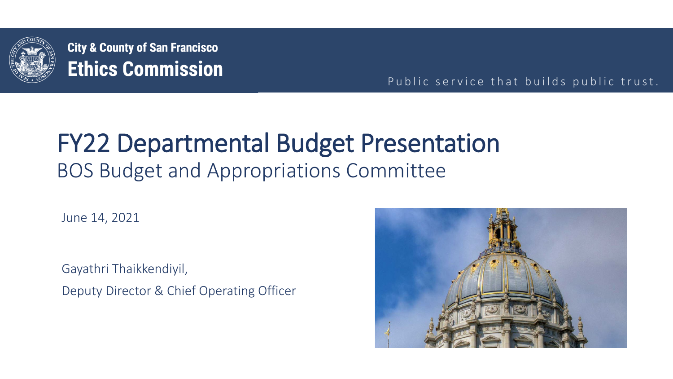

**City & County of San Francisco Ethics Commission** 

Public service that builds public trust.

## FY22 Departmental Budget Presentation BOS Budget and Appropriations Committee

June 14, 2021

Gayathri Thaikkendiyil, Deputy Director & Chief Operating Officer

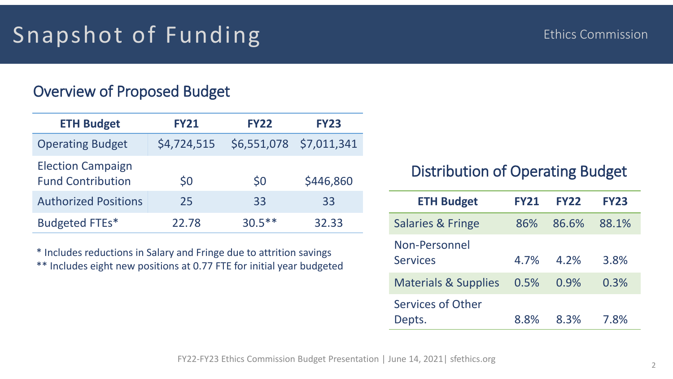## Snapshot of Funding

### Overview of Proposed Budget

| <b>ETH Budget</b>                                    | <b>FY21</b> | <b>FY22</b> | <b>FY23</b>            |
|------------------------------------------------------|-------------|-------------|------------------------|
| <b>Operating Budget</b>                              | \$4,724,515 | \$6,551,078 | $\frac{57,011,341}{ }$ |
| <b>Election Campaign</b><br><b>Fund Contribution</b> | \$0         | \$0         | \$446,860              |
| <b>Authorized Positions</b>                          | 25          | 33          | 33                     |
| Budgeted FTEs*                                       | 22.78       | $30.5***$   | 32.33                  |

\* Includes reductions in Salary and Fringe due to attrition savings \*\* Includes eight new positions at 0.77 FTE for initial year budgeted

### Distribution of Operating Budget

| <b>ETH Budget</b>                | <b>FY21</b> | <b>FY22</b> | <b>FY23</b> |
|----------------------------------|-------------|-------------|-------------|
| <b>Salaries &amp; Fringe</b>     | 86%         | 86.6%       | 88.1%       |
| Non-Personnel<br><b>Services</b> | 4.7%        | 4.2%        | 3.8%        |
| <b>Materials &amp; Supplies</b>  | 0.5%        | 0.9%        | 0.3%        |
| Services of Other<br>Depts.      | 8.8%        | 8.3%        | 7.8%        |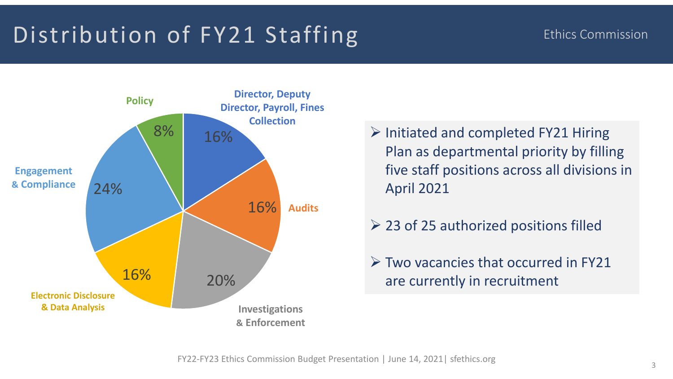# Distribution of FY21 Staffing Ethics Commission



- $\triangleright$  Initiated and completed FY21 Hiring Plan as departmental priority by filling five staff positions across all divisions in April 2021
- $\geq$  23 of 25 authorized positions filled
- $\triangleright$  Two vacancies that occurred in FY21 are currently in recruitment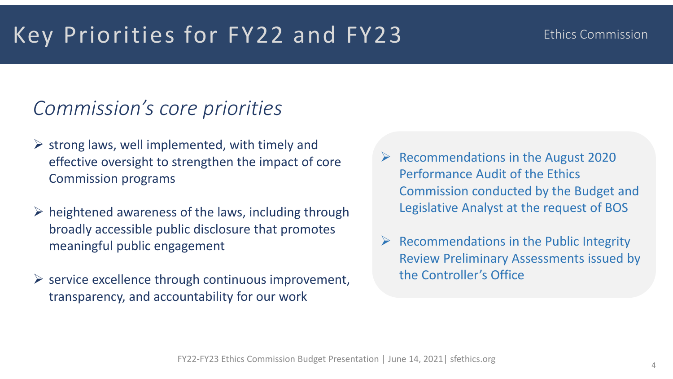## Key Priorities for FY22 and FY23

### Ethics Commission

## *Commission's core priorities*

- $\triangleright$  strong laws, well implemented, with timely and effective oversight to strengthen the impact of core Commission programs
- $\triangleright$  heightened awareness of the laws, including through broadly accessible public disclosure that promotes meaningful public engagement
- $\triangleright$  service excellence through continuous improvement, transparency, and accountability for our work
- $\triangleright$  Recommendations in the August 2020 Performance Audit of the Ethics Commission conducted by the Budget and Legislative Analyst at the request of BOS
- $\triangleright$  Recommendations in the Public Integrity Review Preliminary Assessments issued by the Controller's Office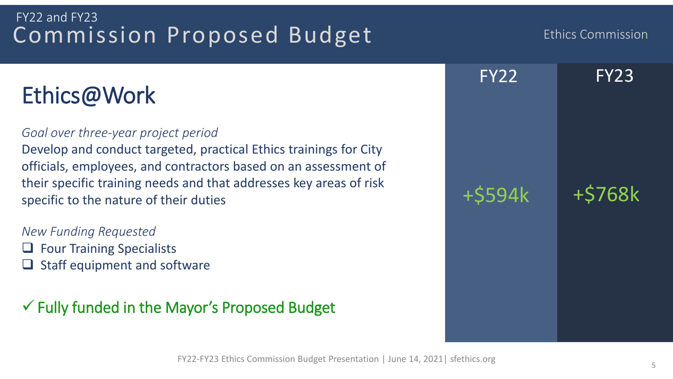### Commission Proposed Budget FY22 and FY23

## Ethics@Work

### *Goal over three-year project period*

Develop and conduct targeted, practical Ethics trainings for City officials, employees, and contractors based on an assessment of their specific training needs and that addresses key areas of risk specific to the nature of their duties

*New Funding Requested*   $\Box$  Four Training Specialists Staff equipment and software

 $\checkmark$  Fully funded in the Mayor's Proposed Budget



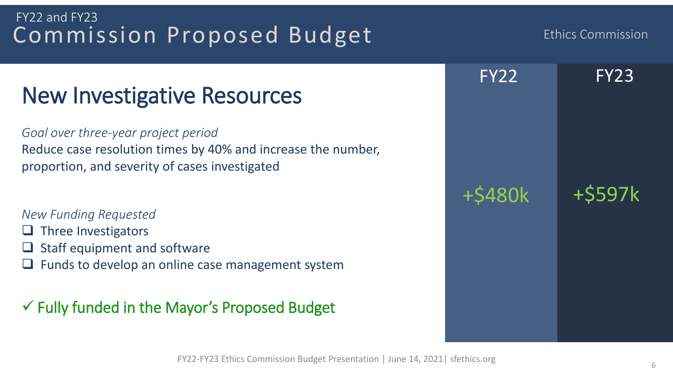### FY22-FY23 Ethics Commission Budget Presentation | June 14, 2021| sfethics.org

### 6

## Commission Proposed Budget FY22 and FY23

# New Investigative Resources

*Goal over three-year project period* Reduce case resolution times by 40% and increase the number, proportion, and severity of cases investigated

### *New Funding Requested*

- $\Box$  Three Investigators
- $\Box$  Staff equipment and software
- $\Box$  Funds to develop an online case management system

 $\checkmark$  Fully funded in the Mayor's Proposed Budget



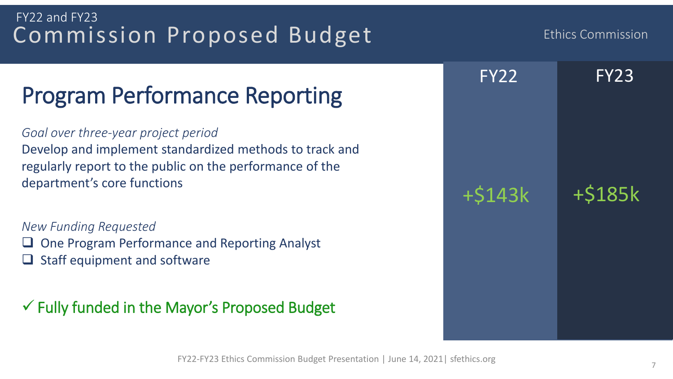### FY22-FY23 Ethics Commission Budget Presentation | June 14, 2021| sfethics.org

### 7

### Commission Proposed Budget FY22 and FY23

## Program Performance Reporting

*Goal over three-year project period* Develop and implement standardized methods to track and regularly report to the public on the performance of the department's core functions

*New Funding Requested*  One Program Performance and Reporting Analyst Staff equipment and software

 $\checkmark$  Fully funded in the Mayor's Proposed Budget



Ethics Commission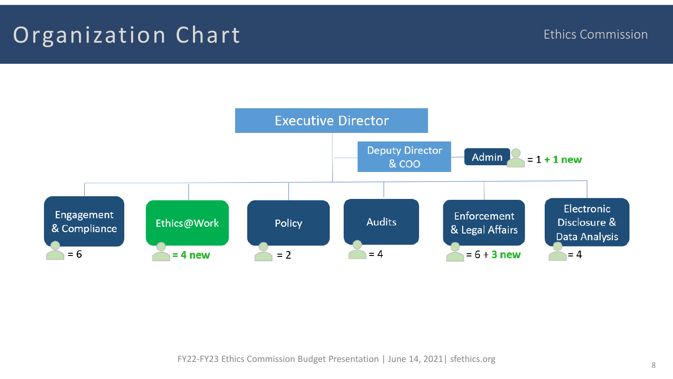## Organization Chart